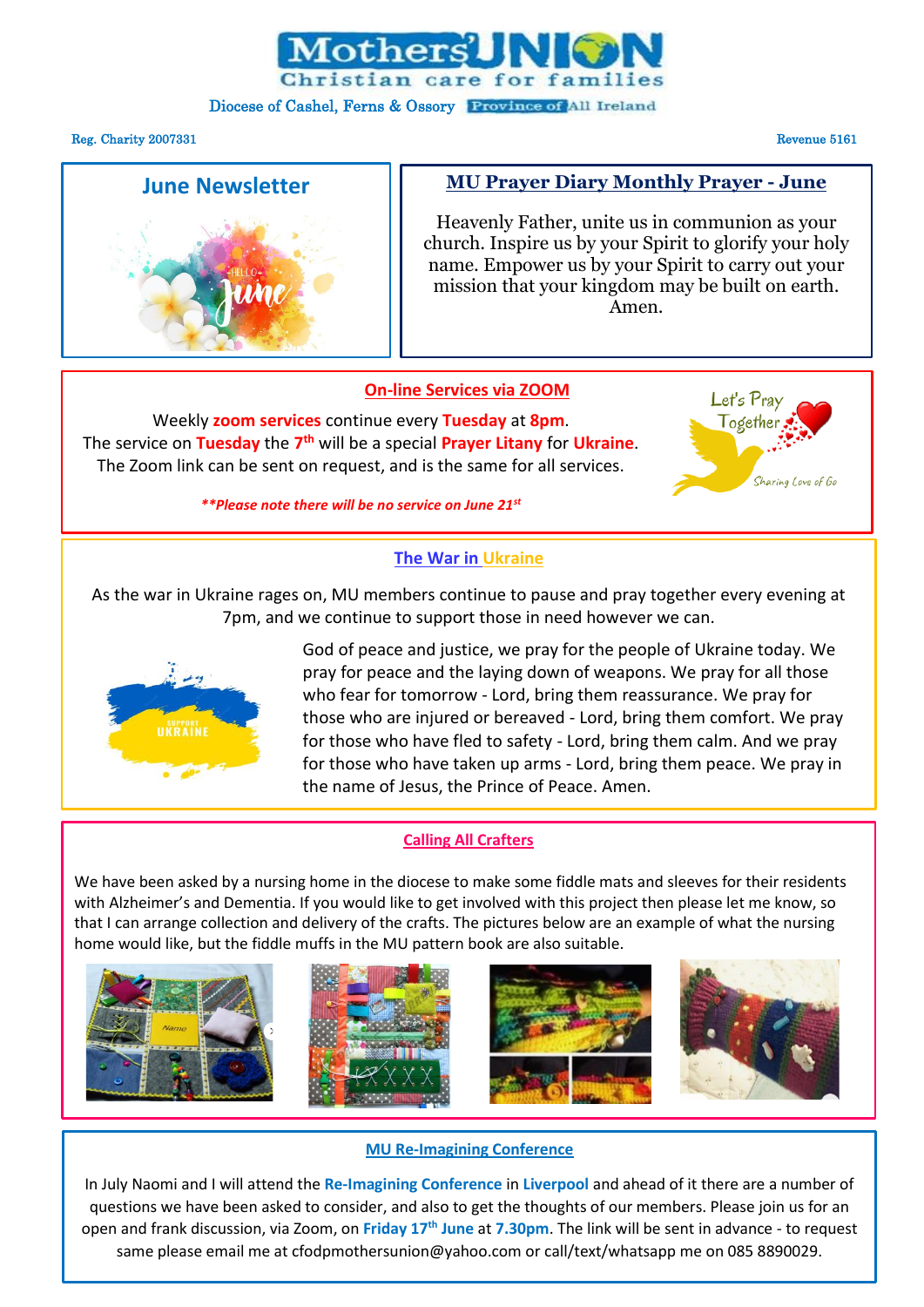

## Diocese of Cashel, Ferns & Ossory Province of All Ireland

#### Reg. Charity 2007331 Revenue 5161

# **June Newsletter**

# **MU Prayer Diary Monthly Prayer - June**

Heavenly Father, unite us in communion as your church. Inspire us by your Spirit to glorify your holy name. Empower us by your Spirit to carry out your mission that your kingdom may be built on earth. Amen.

# **On-line Services via ZOOM**

Weekly **zoom services** continue every **Tuesday** at **8pm**. The service on **Tuesday** the **7 th** will be a special **Prayer Litany** for **Ukraine**. The Zoom link can be sent on request, and is the same for all services.



# *\*\*Please note there will be no service on June 21st*

# **The War in Ukraine**

As the war in Ukraine rages on, MU members continue to pause and pray together every evening at 7pm, and we continue to support those in need however we can.



God of peace and justice, we pray for the people of Ukraine today. We pray for peace and the laying down of weapons. We pray for all those who fear for tomorrow - Lord, bring them reassurance. We pray for those who are injured or bereaved - Lord, bring them comfort. We pray for those who have fled to safety - Lord, bring them calm. And we pray for those who have taken up arms - Lord, bring them peace. We pray in the name of Jesus, the Prince of Peace. Amen.

# **Calling All Crafters**

We have been asked by a nursing home in the diocese to make some fiddle mats and sleeves for their residents with Alzheimer's and Dementia. If you would like to get involved with this project then please let me know, so that I can arrange collection and delivery of the crafts. The pictures below are an example of what the nursing home would like, but the fiddle muffs in the MU pattern book are also suitable.









# **MU Re-Imagining Conference**

In July Naomi and I will attend the **Re-Imagining Conference** in **Liverpool** and ahead of it there are a number of questions we have been asked to consider, and also to get the thoughts of our members. Please join us for an open and frank discussion, via Zoom, on **Friday 17th June** at **7.30pm**. The link will be sent in advance - to request same please email me at [cfodpmothersunion@yahoo.com](mailto:cfodpmothersunion@yahoo.com) or call/text/whatsapp me on 085 8890029.